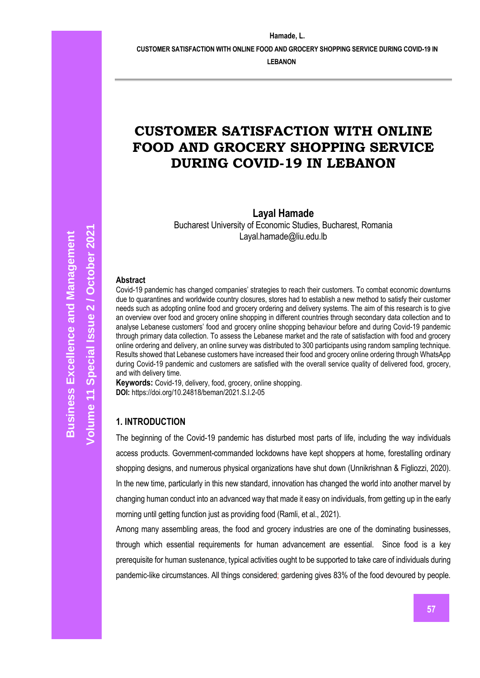**CUSTOMER SATISFACTION WITH ONLINE FOOD AND GROCERY SHOPPING SERVICE DURING COVID-19 IN** 

**LEBANON**

# **CUSTOMER SATISFACTION WITH ONLINE FOOD AND GROCERY SHOPPING SERVICE DURING COVID-19 IN LEBANON**

**Layal Hamade**

Bucharest University of Economic Studies, Bucharest, Romania Layal.hamade@liu.edu.lb

#### **Abstract**

Covid-19 pandemic has changed companies' strategies to reach their customers. To combat economic downturns due to quarantines and worldwide country closures, stores had to establish a new method to satisfy their customer needs such as adopting online food and grocery ordering and delivery systems. The aim of this research is to give an overview over food and grocery online shopping in different countries through secondary data collection and to analyse Lebanese customers' food and grocery online shopping behaviour before and during Covid-19 pandemic through primary data collection. To assess the Lebanese market and the rate of satisfaction with food and grocery online ordering and delivery, an online survey was distributed to 300 participants using random sampling technique. Results showed that Lebanese customers have increased their food and grocery online ordering through WhatsApp during Covid-19 pandemic and customers are satisfied with the overall service quality of delivered food, grocery, and with delivery time.

**Keywords:** Covid-19, delivery, food, grocery, online shopping. **DOI:** https://doi.org/10.24818/beman/2021.S.I.2-05

### **1. INTRODUCTION**

The beginning of the Covid-19 pandemic has disturbed most parts of life, including the way individuals access products. Government-commanded lockdowns have kept shoppers at home, forestalling ordinary shopping designs, and numerous physical organizations have shut down (Unnikrishnan & Figliozzi, 2020). In the new time, particularly in this new standard, innovation has changed the world into another marvel by changing human conduct into an advanced way that made it easy on individuals, from getting up in the early morning until getting function just as providing food (Ramli, et al., 2021).

Among many assembling areas, the food and grocery industries are one of the dominating businesses, through which essential requirements for human advancement are essential. Since food is a key prerequisite for human sustenance, typical activities ought to be supported to take care of individuals during pandemic-like circumstances. All things considered; gardening gives 83% of the food devoured by people.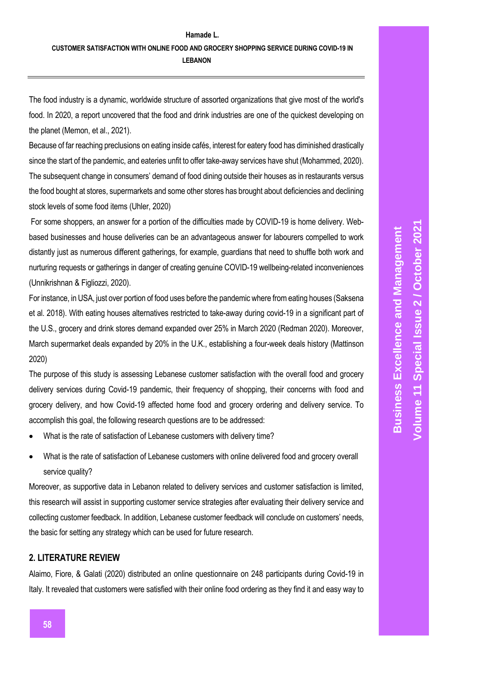The food industry is a dynamic, worldwide structure of assorted organizations that give most of the world's food. In 2020, a report uncovered that the food and drink industries are one of the quickest developing on the planet (Memon, et al., 2021).

Because of far reaching preclusions on eating inside cafés, interest for eatery food has diminished drastically since the start of the pandemic, and eateries unfit to offer take-away services have shut (Mohammed, 2020). The subsequent change in consumers' demand of food dining outside their houses as in restaurants versus the food bought at stores, supermarkets and some other stores has brought about deficiencies and declining stock levels of some food items (Uhler, 2020)

For some shoppers, an answer for a portion of the difficulties made by COVID-19 is home delivery. Webbased businesses and house deliveries can be an advantageous answer for labourers compelled to work distantly just as numerous different gatherings, for example, guardians that need to shuffle both work and nurturing requests or gatherings in danger of creating genuine COVID-19 wellbeing-related inconveniences (Unnikrishnan & Figliozzi, 2020).

For instance, in USA, just over portion of food uses before the pandemic where from eating houses (Saksena et al. 2018). With eating houses alternatives restricted to take-away during covid-19 in a significant part of the U.S., grocery and drink stores demand expanded over 25% in March 2020 (Redman 2020). Moreover, March supermarket deals expanded by 20% in the U.K., establishing a four-week deals history (Mattinson 2020)

The purpose of this study is assessing Lebanese customer satisfaction with the overall food and grocery delivery services during Covid-19 pandemic, their frequency of shopping, their concerns with food and grocery delivery, and how Covid-19 affected home food and grocery ordering and delivery service. To accomplish this goal, the following research questions are to be addressed:

- What is the rate of satisfaction of Lebanese customers with delivery time?
- What is the rate of satisfaction of Lebanese customers with online delivered food and grocery overall service quality?

Moreover, as supportive data in Lebanon related to delivery services and customer satisfaction is limited, this research will assist in supporting customer service strategies after evaluating their delivery service and collecting customer feedback. In addition, Lebanese customer feedback will conclude on customers' needs, the basic for setting any strategy which can be used for future research.

# **2. LITERATURE REVIEW**

Alaimo, Fiore, & Galati (2020) distributed an online questionnaire on 248 participants during Covid-19 in Italy. It revealed that customers were satisfied with their online food ordering as they find it and easy way to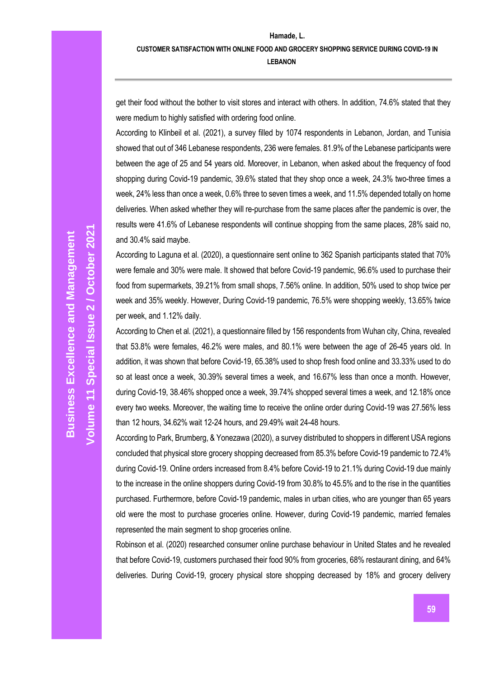get their food without the bother to visit stores and interact with others. In addition, 74.6% stated that they were medium to highly satisfied with ordering food online.

According to Klinbeil et al. (2021), a survey filled by 1074 respondents in Lebanon, Jordan, and Tunisia showed that out of 346 Lebanese respondents, 236 were females. 81.9% of the Lebanese participants were between the age of 25 and 54 years old. Moreover, in Lebanon, when asked about the frequency of food shopping during Covid-19 pandemic, 39.6% stated that they shop once a week, 24.3% two-three times a week, 24% less than once a week, 0.6% three to seven times a week, and 11.5% depended totally on home deliveries. When asked whether they will re-purchase from the same places after the pandemic is over, the results were 41.6% of Lebanese respondents will continue shopping from the same places, 28% said no, and 30.4% said maybe.

According to Laguna et al. (2020), a questionnaire sent online to 362 Spanish participants stated that 70% were female and 30% were male. It showed that before Covid-19 pandemic, 96.6% used to purchase their food from supermarkets, 39.21% from small shops, 7.56% online. In addition, 50% used to shop twice per week and 35% weekly. However, During Covid-19 pandemic, 76.5% were shopping weekly, 13.65% twice per week, and 1.12% daily.

According to Chen et al. (2021), a questionnaire filled by 156 respondents from Wuhan city, China, revealed that 53.8% were females, 46.2% were males, and 80.1% were between the age of 26-45 years old. In addition, it was shown that before Covid-19, 65.38% used to shop fresh food online and 33.33% used to do so at least once a week, 30.39% several times a week, and 16.67% less than once a month. However, during Covid-19, 38.46% shopped once a week, 39.74% shopped several times a week, and 12.18% once every two weeks. Moreover, the waiting time to receive the online order during Covid-19 was 27.56% less than 12 hours, 34.62% wait 12-24 hours, and 29.49% wait 24-48 hours.

According to Park, Brumberg, & Yonezawa (2020), a survey distributed to shoppers in different USA regions concluded that physical store grocery shopping decreased from 85.3% before Covid-19 pandemic to 72.4% during Covid-19. Online orders increased from 8.4% before Covid-19 to 21.1% during Covid-19 due mainly to the increase in the online shoppers during Covid-19 from 30.8% to 45.5% and to the rise in the quantities purchased. Furthermore, before Covid-19 pandemic, males in urban cities, who are younger than 65 years old were the most to purchase groceries online. However, during Covid-19 pandemic, married females represented the main segment to shop groceries online.

Robinson et al. (2020) researched consumer online purchase behaviour in United States and he revealed that before Covid-19, customers purchased their food 90% from groceries, 68% restaurant dining, and 64% deliveries. During Covid-19, grocery physical store shopping decreased by 18% and grocery delivery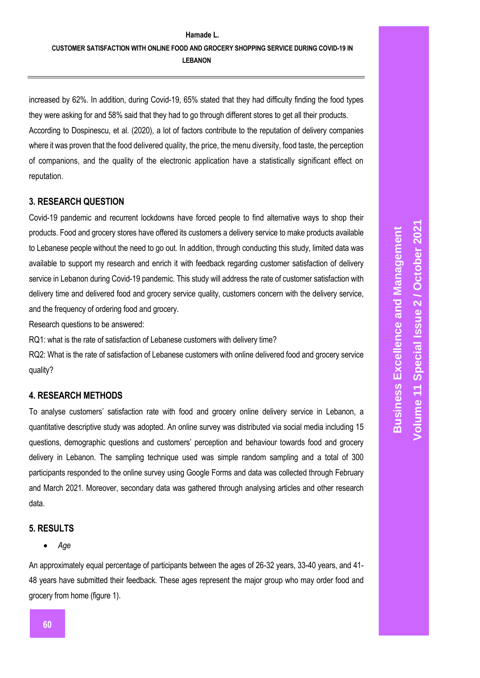# **Hamade L. CUSTOMER SATISFACTION WITH ONLINE FOOD AND GROCERY SHOPPING SERVICE DURING COVID-19 IN LEBANON**

increased by 62%. In addition, during Covid-19, 65% stated that they had difficulty finding the food types they were asking for and 58% said that they had to go through different stores to get all their products. According to Dospinescu, et al. (2020), a lot of factors contribute to the reputation of delivery companies where it was proven that the food delivered quality, the price, the menu diversity, food taste, the perception of companions, and the quality of the electronic application have a statistically significant effect on reputation.

# **3. RESEARCH QUESTION**

Covid-19 pandemic and recurrent lockdowns have forced people to find alternative ways to shop their products. Food and grocery stores have offered its customers a delivery service to make products available to Lebanese people without the need to go out. In addition, through conducting this study, limited data was available to support my research and enrich it with feedback regarding customer satisfaction of delivery service in Lebanon during Covid-19 pandemic. This study will address the rate of customer satisfaction with delivery time and delivered food and grocery service quality, customers concern with the delivery service, and the frequency of ordering food and grocery.

Research questions to be answered:

RQ1: what is the rate of satisfaction of Lebanese customers with delivery time?

RQ2: What is the rate of satisfaction of Lebanese customers with online delivered food and grocery service quality?

# **4. RESEARCH METHODS**

To analyse customers' satisfaction rate with food and grocery online delivery service in Lebanon, a quantitative descriptive study was adopted. An online survey was distributed via social media including 15 questions, demographic questions and customers' perception and behaviour towards food and grocery delivery in Lebanon. The sampling technique used was simple random sampling and a total of 300 participants responded to the online survey using Google Forms and data was collected through February and March 2021. Moreover, secondary data was gathered through analysing articles and other research data.

# **5. RESULTS**

*Age*

An approximately equal percentage of participants between the ages of 26-32 years, 33-40 years, and 41- 48 years have submitted their feedback. These ages represent the major group who may order food and grocery from home (figure 1).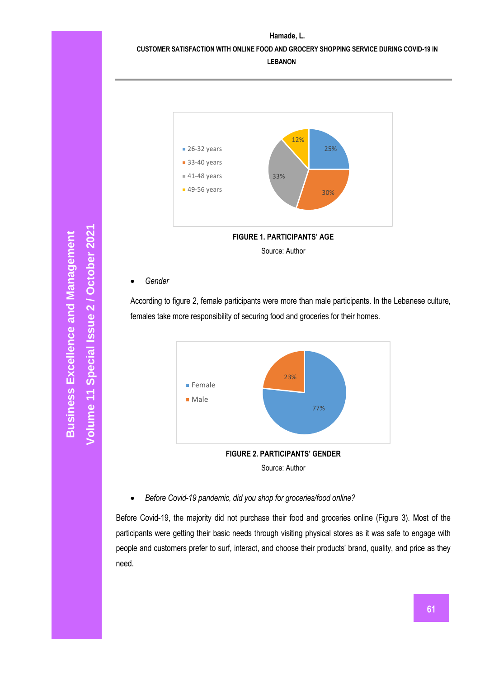**Hamade, L. CUSTOMER SATISFACTION WITH ONLINE FOOD AND GROCERY SHOPPING SERVICE DURING COVID-19 IN** 

**LEBANON**



*Gender*

According to figure 2, female participants were more than male participants. In the Lebanese culture, females take more responsibility of securing food and groceries for their homes.



*Before Covid-19 pandemic, did you shop for groceries/food online?*

Before Covid-19, the majority did not purchase their food and groceries online (Figure 3). Most of the participants were getting their basic needs through visiting physical stores as it was safe to engage with people and customers prefer to surf, interact, and choose their products' brand, quality, and price as they need.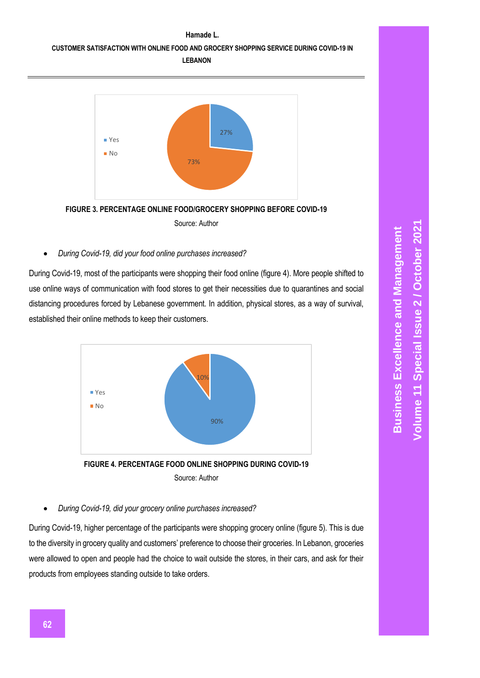



Source: Author

*During Covid-19, did your food online purchases increased?*

During Covid-19, most of the participants were shopping their food online (figure 4). More people shifted to use online ways of communication with food stores to get their necessities due to quarantines and social distancing procedures forced by Lebanese government. In addition, physical stores, as a way of survival, established their online methods to keep their customers.



*During Covid-19, did your grocery online purchases increased?*

During Covid-19, higher percentage of the participants were shopping grocery online (figure 5). This is due to the diversity in grocery quality and customers' preference to choose their groceries. In Lebanon, groceries were allowed to open and people had the choice to wait outside the stores, in their cars, and ask for their products from employees standing outside to take orders.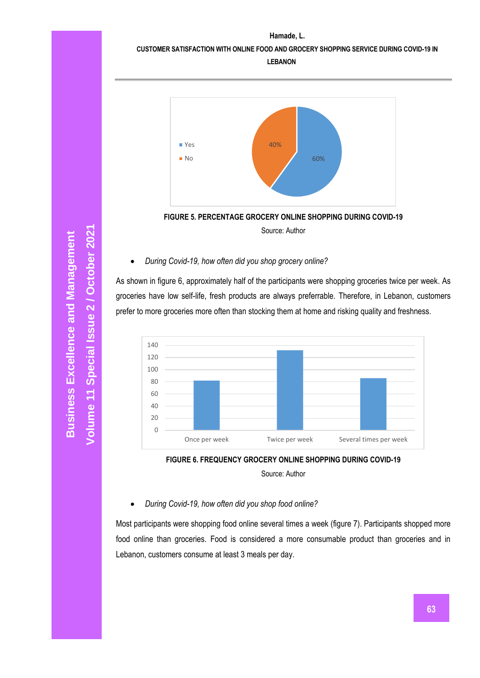**CUSTOMER SATISFACTION WITH ONLINE FOOD AND GROCERY SHOPPING SERVICE DURING COVID-19 IN** 

**LEBANON**



Source: Author

### *During Covid-19, how often did you shop grocery online?*

As shown in figure 6, approximately half of the participants were shopping groceries twice per week. As groceries have low self-life, fresh products are always preferrable. Therefore, in Lebanon, customers prefer to more groceries more often than stocking them at home and risking quality and freshness.





Source: Author

### *During Covid-19, how often did you shop food online?*

Most participants were shopping food online several times a week (figure 7). Participants shopped more food online than groceries. Food is considered a more consumable product than groceries and in Lebanon, customers consume at least 3 meals per day.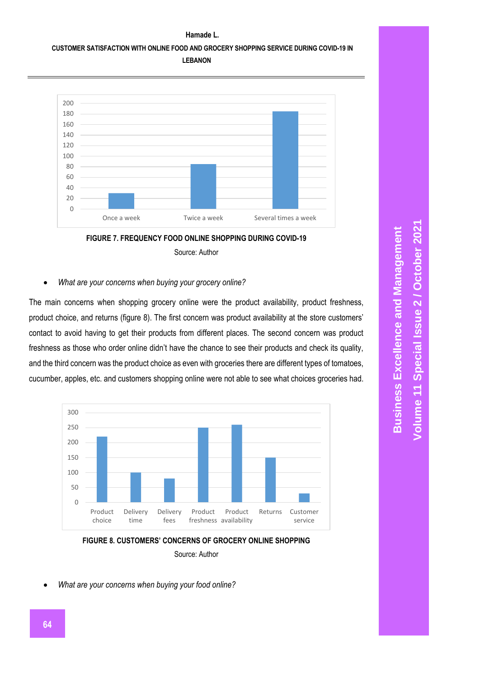### **CUSTOMER SATISFACTION WITH ONLINE FOOD AND GROCERY SHOPPING SERVICE DURING COVID-19 IN LEBANON**





#### *What are your concerns when buying your grocery online?*

The main concerns when shopping grocery online were the product availability, product freshness, product choice, and returns (figure 8). The first concern was product availability at the store customers' contact to avoid having to get their products from different places. The second concern was product freshness as those who order online didn't have the chance to see their products and check its quality, and the third concern was the product choice as even with groceries there are different types of tomatoes, cucumber, apples, etc. and customers shopping online were not able to see what choices groceries had.



# **FIGURE 8. CUSTOMERS' CONCERNS OF GROCERY ONLINE SHOPPING** Source: Author

*What are your concerns when buying your food online?*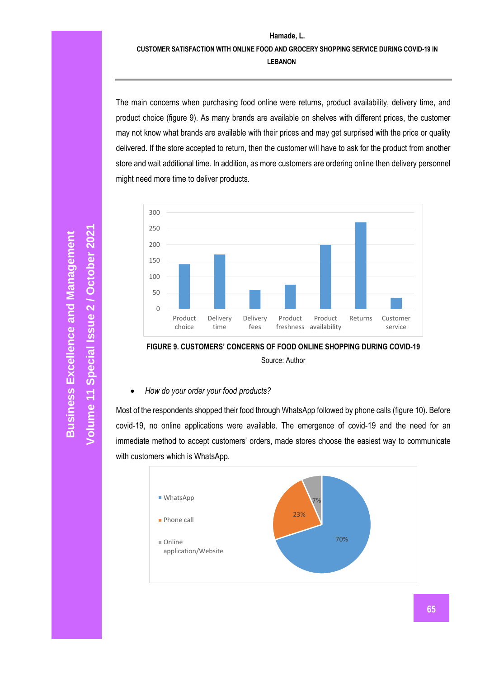**CUSTOMER SATISFACTION WITH ONLINE FOOD AND GROCERY SHOPPING SERVICE DURING COVID-19 IN LEBANON**

The main concerns when purchasing food online were returns, product availability, delivery time, and product choice (figure 9). As many brands are available on shelves with different prices, the customer may not know what brands are available with their prices and may get surprised with the price or quality delivered. If the store accepted to return, then the customer will have to ask for the product from another store and wait additional time. In addition, as more customers are ordering online then delivery personnel might need more time to deliver products.



**FIGURE 9. CUSTOMERS' CONCERNS OF FOOD ONLINE SHOPPING DURING COVID-19**

Source: Author

*How do your order your food products?*

Most of the respondents shopped their food through WhatsApp followed by phone calls (figure 10). Before covid-19, no online applications were available. The emergence of covid-19 and the need for an immediate method to accept customers' orders, made stores choose the easiest way to communicate with customers which is WhatsApp.

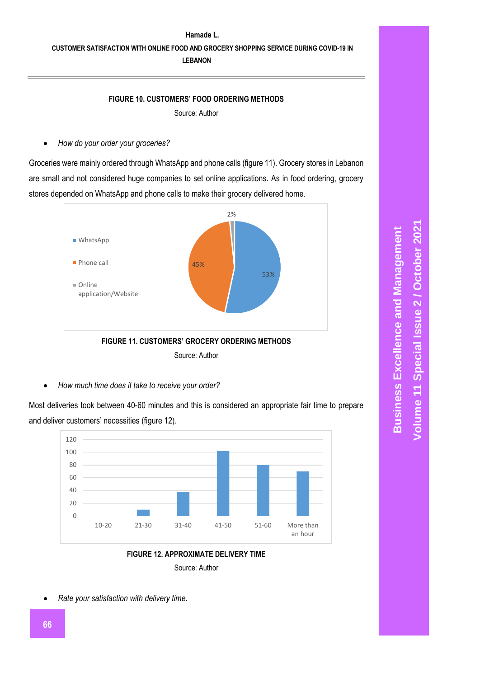# **Hamade L. CUSTOMER SATISFACTION WITH ONLINE FOOD AND GROCERY SHOPPING SERVICE DURING COVID-19 IN LEBANON**

#### **FIGURE 10. CUSTOMERS' FOOD ORDERING METHODS**

Source: Author

*How do your order your groceries?*

Groceries were mainly ordered through WhatsApp and phone calls (figure 11). Grocery stores in Lebanon are small and not considered huge companies to set online applications. As in food ordering, grocery stores depended on WhatsApp and phone calls to make their grocery delivered home.



Source: Author

*How much time does it take to receive your order?*

Most deliveries took between 40-60 minutes and this is considered an appropriate fair time to prepare and deliver customers' necessities (figure 12).





*Rate your satisfaction with delivery time.*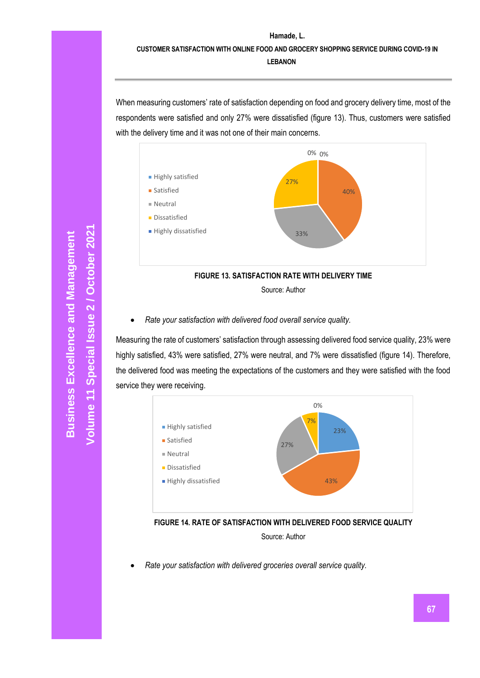**CUSTOMER SATISFACTION WITH ONLINE FOOD AND GROCERY SHOPPING SERVICE DURING COVID-19 IN LEBANON**

When measuring customers' rate of satisfaction depending on food and grocery delivery time, most of the respondents were satisfied and only 27% were dissatisfied (figure 13). Thus, customers were satisfied with the delivery time and it was not one of their main concerns.



**FIGURE 13. SATISFACTION RATE WITH DELIVERY TIME**

Source: Author

*Rate your satisfaction with delivered food overall service quality.*

Measuring the rate of customers' satisfaction through assessing delivered food service quality, 23% were highly satisfied, 43% were satisfied, 27% were neutral, and 7% were dissatisfied (figure 14). Therefore, the delivered food was meeting the expectations of the customers and they were satisfied with the food service they were receiving.





*Rate your satisfaction with delivered groceries overall service quality.*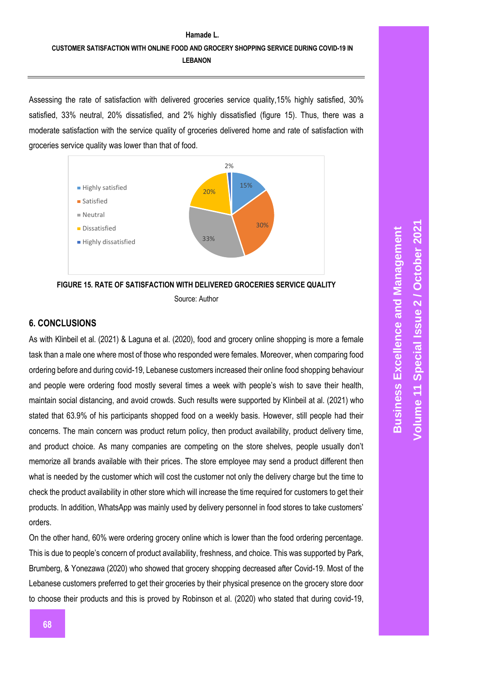# **Hamade L. CUSTOMER SATISFACTION WITH ONLINE FOOD AND GROCERY SHOPPING SERVICE DURING COVID-19 IN LEBANON**

Assessing the rate of satisfaction with delivered groceries service quality,15% highly satisfied, 30% satisfied, 33% neutral, 20% dissatisfied, and 2% highly dissatisfied (figure 15). Thus, there was a moderate satisfaction with the service quality of groceries delivered home and rate of satisfaction with groceries service quality was lower than that of food.



Source: Author

### **6. CONCLUSIONS**

As with Klinbeil et al. (2021) & Laguna et al. (2020), food and grocery online shopping is more a female task than a male one where most of those who responded were females. Moreover, when comparing food ordering before and during covid-19, Lebanese customers increased their online food shopping behaviour and people were ordering food mostly several times a week with people's wish to save their health, maintain social distancing, and avoid crowds. Such results were supported by Klinbeil at al. (2021) who stated that 63.9% of his participants shopped food on a weekly basis. However, still people had their concerns. The main concern was product return policy, then product availability, product delivery time, and product choice. As many companies are competing on the store shelves, people usually don't memorize all brands available with their prices. The store employee may send a product different then what is needed by the customer which will cost the customer not only the delivery charge but the time to check the product availability in other store which will increase the time required for customers to get their products. In addition, WhatsApp was mainly used by delivery personnel in food stores to take customers' orders.

On the other hand, 60% were ordering grocery online which is lower than the food ordering percentage. This is due to people's concern of product availability, freshness, and choice. This was supported by Park, Brumberg, & Yonezawa (2020) who showed that grocery shopping decreased after Covid-19. Most of the Lebanese customers preferred to get their groceries by their physical presence on the grocery store door to choose their products and this is proved by Robinson et al. (2020) who stated that during covid-19,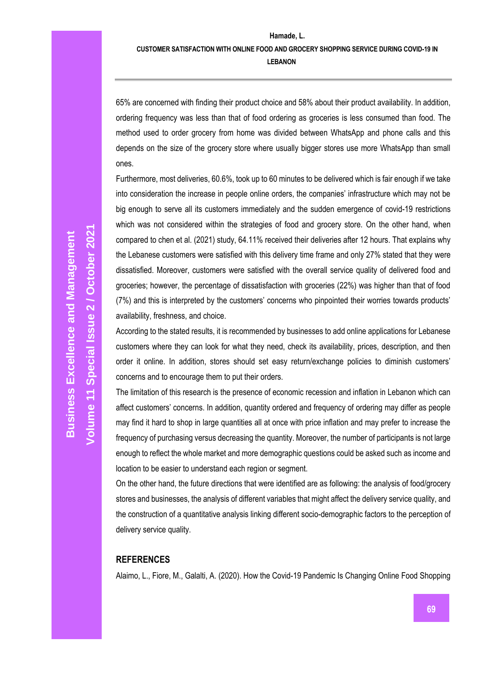### **CUSTOMER SATISFACTION WITH ONLINE FOOD AND GROCERY SHOPPING SERVICE DURING COVID-19 IN LEBANON**

65% are concerned with finding their product choice and 58% about their product availability. In addition, ordering frequency was less than that of food ordering as groceries is less consumed than food. The method used to order grocery from home was divided between WhatsApp and phone calls and this depends on the size of the grocery store where usually bigger stores use more WhatsApp than small ones.

Furthermore, most deliveries, 60.6%, took up to 60 minutes to be delivered which is fair enough if we take into consideration the increase in people online orders, the companies' infrastructure which may not be big enough to serve all its customers immediately and the sudden emergence of covid-19 restrictions which was not considered within the strategies of food and grocery store. On the other hand, when compared to chen et al. (2021) study, 64.11% received their deliveries after 12 hours. That explains why the Lebanese customers were satisfied with this delivery time frame and only 27% stated that they were dissatisfied. Moreover, customers were satisfied with the overall service quality of delivered food and groceries; however, the percentage of dissatisfaction with groceries (22%) was higher than that of food (7%) and this is interpreted by the customers' concerns who pinpointed their worries towards products' availability, freshness, and choice.

According to the stated results, it is recommended by businesses to add online applications for Lebanese customers where they can look for what they need, check its availability, prices, description, and then order it online. In addition, stores should set easy return/exchange policies to diminish customers' concerns and to encourage them to put their orders.

The limitation of this research is the presence of economic recession and inflation in Lebanon which can affect customers' concerns. In addition, quantity ordered and frequency of ordering may differ as people may find it hard to shop in large quantities all at once with price inflation and may prefer to increase the frequency of purchasing versus decreasing the quantity. Moreover, the number of participants is not large enough to reflect the whole market and more demographic questions could be asked such as income and location to be easier to understand each region or segment.

On the other hand, the future directions that were identified are as following: the analysis of food/grocery stores and businesses, the analysis of different variables that might affect the delivery service quality, and the construction of a quantitative analysis linking different socio-demographic factors to the perception of delivery service quality.

#### **REFERENCES**

Alaimo, L., Fiore, M., Galalti, A. (2020). How the Covid-19 Pandemic Is Changing Online Food Shopping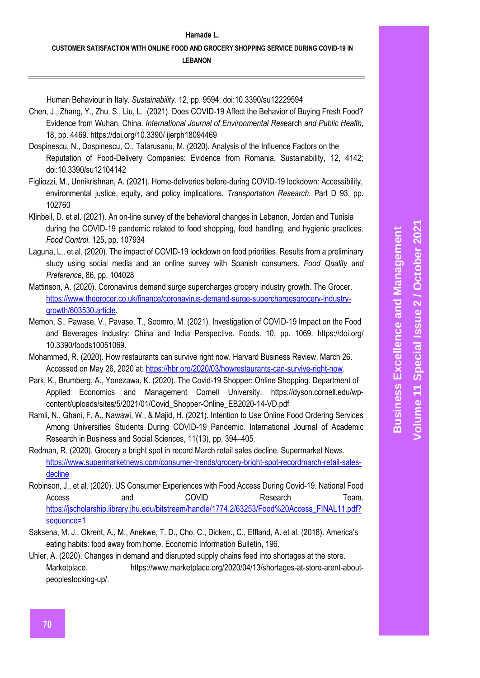Human Behaviour in Italy. *Sustainability*. 12, pp. 9594; doi:10.3390/su12229594

- Chen, J., Zhang, Y., Zhu, S., Liu, L. (2021). Does COVID-19 Affect the Behavior of Buying Fresh Food? Evidence from Wuhan, China. *International Journal of Environmental Res*earch *and Public Health*, 18, pp. 4469. https://doi.org/10.3390/ ijerph18094469
- Dospinescu, N., Dospinescu, O., Tatarusanu, M. (2020). Analysis of the Influence Factors on the Reputation of Food-Delivery Companies: Evidence from Romania. Sustainability, 12, 4142; doi:10.3390/su12104142
- Figliozzi, M., Unnikrishnan, A. (2021). Home-deliveries before-during COVID-19 lockdown: Accessibility, environmental justice, equity, and policy implications. *Transportation Research*. Part D 93, pp. 102760
- Klinbeil, D. et al. (2021). An on-line survey of the behavioral changes in Lebanon, Jordan and Tunisia during the COVID-19 pandemic related to food shopping, food handling, and hygienic practices. *Food Control*. 125, pp. 107934
- Laguna, L., et al. (2020). The impact of COVID-19 lockdown on food priorities. Results from a preliminary study using social media and an online survey with Spanish consumers*. Food Quality and Preference,* 86, pp. 104028
- Mattinson, A. (2020). Coronavirus demand surge supercharges grocery industry growth. The Grocer. [https://www.thegrocer.co.uk/finance/coronavirus-demand-surge-superchargesgrocery-industry](https://www.thegrocer.co.uk/finance/coronavirus-demand-surge-superchargesgrocery-industry-growth/603530.article)[growth/603530.article.](https://www.thegrocer.co.uk/finance/coronavirus-demand-surge-superchargesgrocery-industry-growth/603530.article)
- Memon, S., Pawase, V., Pavase, T., Soomro, M. (2021). Investigation of COVID-19 Impact on the Food and Beverages Industry: China and India Perspective. Foods. 10, pp. 1069. https://doi.org/ 10.3390/foods10051069.
- Mohammed, R. (2020). How restaurants can survive right now. Harvard Business Review. March 26. Accessed on May 26, 2020 at: [https://hbr.org/2020/03/howrestaurants-can-survive-right-now.](https://hbr.org/2020/03/howrestaurants-can-survive-right-now)
- Park, K., Brumberg, A., Yonezawa, K. (2020). The Covid-19 Shopper: Online Shopping. Department of Applied Economics and Management Cornell University. https://dyson.cornell.edu/wpcontent/uploads/sites/5/2021/01/Covid\_Shopper-Online\_EB2020-14-VD.pdf
- Ramli, N., Ghani, F. A., Nawawi, W., & Majid, H. (2021). Intention to Use Online Food Ordering Services Among Universities Students During COVID-19 Pandemic. International Journal of Academic Research in Business and Social Sciences, 11(13), pp. 394–405.
- Redman, R. (2020). Grocery a bright spot in record March retail sales decline. Supermarket News. [https://www.supermarketnews.com/consumer-trends/grocery-bright-spot-recordmarch-retail-sales](https://www.supermarketnews.com/consumer-trends/grocery-bright-spot-recordmarch-retail-sales-decline)[decline](https://www.supermarketnews.com/consumer-trends/grocery-bright-spot-recordmarch-retail-sales-decline)
- Robinson, J., et al. (2020). US Consumer Experiences with Food Access During Covid-19. National Food Access and COVID Research Team. [https://jscholarship.library.jhu.edu/bitstream/handle/1774.2/63253/Food%20Access\\_FINAL11.pdf?](https://jscholarship.library.jhu.edu/bitstream/handle/1774.2/63253/Food%20Access_FINAL11.pdf?sequence=1) [sequence=1](https://jscholarship.library.jhu.edu/bitstream/handle/1774.2/63253/Food%20Access_FINAL11.pdf?sequence=1)
- Saksena, M. J., Okrent, A., M., Anekwe, T. D., Cho, C., Dicken., C., Effland, A. et al. (2018). America's eating habits: food away from home. Economic Information Bulletin, 196.
- Uhler, A. (2020). Changes in demand and disrupted supply chains feed into shortages at the store. Marketplace. https://www.marketplace.org/2020/04/13/shortages-at-store-arent-aboutpeoplestocking-up/.